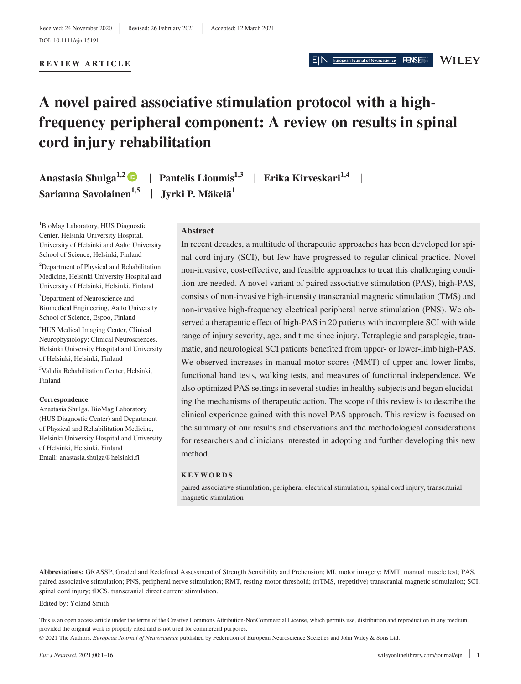#### **REVIEW ARTICLE**

# EIN European Journal of Neuroscience

#### **WILEY**

FENS

# **A novel paired associative stimulation protocol with a highfrequency peripheral component: A review on results in spinal cord injury rehabilitation**

**Anastasia Shulga1,2** | **Pantelis Lioumis1,3** | **Erika Kirveskari1,4** | **Sarianna Savolainen1,5** | **Jyrki P. Mäkelä1**

1 BioMag Laboratory, HUS Diagnostic Center, Helsinki University Hospital, University of Helsinki and Aalto University School of Science, Helsinki, Finland

<sup>2</sup>Department of Physical and Rehabilitation Medicine, Helsinki University Hospital and University of Helsinki, Helsinki, Finland

<sup>3</sup>Department of Neuroscience and Biomedical Engineering, Aalto University School of Science, Espoo, Finland

4 HUS Medical Imaging Center, Clinical Neurophysiology; Clinical Neurosciences, Helsinki University Hospital and University of Helsinki, Helsinki, Finland

5 Validia Rehabilitation Center, Helsinki, Finland

#### **Correspondence**

Anastasia Shulga, BioMag Laboratory (HUS Diagnostic Center) and Department of Physical and Rehabilitation Medicine, Helsinki University Hospital and University of Helsinki, Helsinki, Finland Email: [anastasia.shulga@helsinki.fi](mailto:anastasia.shulga@helsinki.fi)

#### **Abstract**

In recent decades, a multitude of therapeutic approaches has been developed for spinal cord injury (SCI), but few have progressed to regular clinical practice. Novel non-invasive, cost-effective, and feasible approaches to treat this challenging condition are needed. A novel variant of paired associative stimulation (PAS), high-PAS, consists of non-invasive high-intensity transcranial magnetic stimulation (TMS) and non-invasive high-frequency electrical peripheral nerve stimulation (PNS). We observed a therapeutic effect of high-PAS in 20 patients with incomplete SCI with wide range of injury severity, age, and time since injury. Tetraplegic and paraplegic, traumatic, and neurological SCI patients benefited from upper- or lower-limb high-PAS. We observed increases in manual motor scores (MMT) of upper and lower limbs, functional hand tests, walking tests, and measures of functional independence. We also optimized PAS settings in several studies in healthy subjects and began elucidating the mechanisms of therapeutic action. The scope of this review is to describe the clinical experience gained with this novel PAS approach. This review is focused on the summary of our results and observations and the methodological considerations for researchers and clinicians interested in adopting and further developing this new method.

#### **KEYWORDS**

paired associative stimulation, peripheral electrical stimulation, spinal cord injury, transcranial magnetic stimulation

**Abbreviations:** GRASSP, Graded and Redefined Assessment of Strength Sensibility and Prehension; MI, motor imagery; MMT, manual muscle test; PAS, paired associative stimulation; PNS, peripheral nerve stimulation; RMT, resting motor threshold; (r)TMS, (repetitive) transcranial magnetic stimulation; SCI, spinal cord injury; tDCS, transcranial direct current stimulation.

#### Edited by: Yoland Smith

This is an open access article under the terms of the [Creative Commons Attribution-NonCommercial](http://creativecommons.org/licenses/by-nc/4.0/) License, which permits use, distribution and reproduction in any medium, provided the original work is properly cited and is not used for commercial purposes.

© 2021 The Authors. *European Journal of Neuroscience* published by Federation of European Neuroscience Societies and John Wiley & Sons Ltd.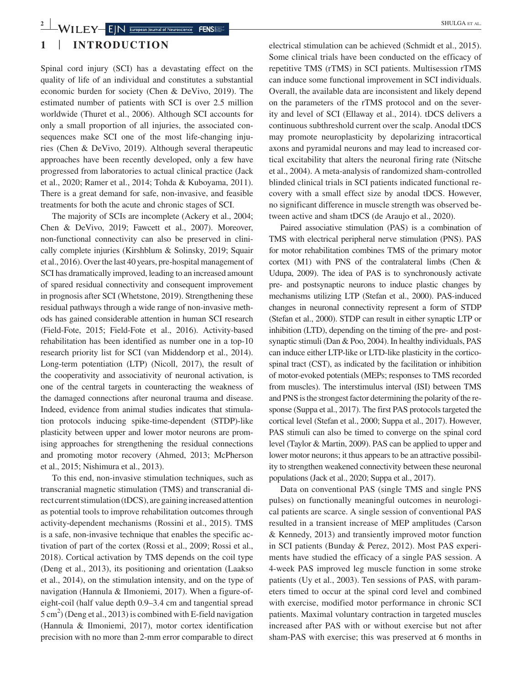# **1** | **INTRODUCTION**

Spinal cord injury (SCI) has a devastating effect on the quality of life of an individual and constitutes a substantial economic burden for society (Chen & DeVivo, 2019). The estimated number of patients with SCI is over 2.5 million worldwide (Thuret et al., 2006). Although SCI accounts for only a small proportion of all injuries, the associated consequences make SCI one of the most life-changing injuries (Chen & DeVivo, 2019). Although several therapeutic approaches have been recently developed, only a few have progressed from laboratories to actual clinical practice (Jack et al., 2020; Ramer et al., 2014; Tohda & Kuboyama, 2011). There is a great demand for safe, non-invasive, and feasible treatments for both the acute and chronic stages of SCI.

The majority of SCIs are incomplete (Ackery et al., 2004; Chen & DeVivo, 2019; Fawcett et al., 2007). Moreover, non-functional connectivity can also be preserved in clinically complete injuries (Kirshblum & Solinsky, 2019; Squair et al., 2016). Over the last 40 years, pre-hospital management of SCI has dramatically improved, leading to an increased amount of spared residual connectivity and consequent improvement in prognosis after SCI (Whetstone, 2019). Strengthening these residual pathways through a wide range of non-invasive methods has gained considerable attention in human SCI research (Field-Fote, 2015; Field-Fote et al., 2016). Activity-based rehabilitation has been identified as number one in a top-10 research priority list for SCI (van Middendorp et al., 2014). Long-term potentiation (LTP) (Nicoll, 2017), the result of the cooperativity and associativity of neuronal activation, is one of the central targets in counteracting the weakness of the damaged connections after neuronal trauma and disease. Indeed, evidence from animal studies indicates that stimulation protocols inducing spike-time-dependent (STDP)-like plasticity between upper and lower motor neurons are promising approaches for strengthening the residual connections and promoting motor recovery (Ahmed, 2013; McPherson et al., 2015; Nishimura et al., 2013).

To this end, non-invasive stimulation techniques, such as transcranial magnetic stimulation (TMS) and transcranial direct current stimulation (tDCS), are gaining increased attention as potential tools to improve rehabilitation outcomes through activity-dependent mechanisms (Rossini et al., 2015). TMS is a safe, non-invasive technique that enables the specific activation of part of the cortex (Rossi et al., 2009; Rossi et al., 2018). Cortical activation by TMS depends on the coil type (Deng et al., 2013), its positioning and orientation (Laakso et al., 2014), on the stimulation intensity, and on the type of navigation (Hannula & Ilmoniemi, 2017). When a figure-ofeight-coil (half value depth 0.9–3.4 cm and tangential spread  $5 \text{ cm}^2$ ) (Deng et al., 2013) is combined with E-field navigation (Hannula & Ilmoniemi, 2017), motor cortex identification precision with no more than 2-mm error comparable to direct

electrical stimulation can be achieved (Schmidt et al., 2015). Some clinical trials have been conducted on the efficacy of repetitive TMS (rTMS) in SCI patients. Multisession rTMS can induce some functional improvement in SCI individuals. Overall, the available data are inconsistent and likely depend on the parameters of the rTMS protocol and on the severity and level of SCI (Ellaway et al., 2014). tDCS delivers a continuous subthreshold current over the scalp. Anodal tDCS may promote neuroplasticity by depolarizing intracortical axons and pyramidal neurons and may lead to increased cortical excitability that alters the neuronal firing rate (Nitsche et al., 2004). A meta-analysis of randomized sham-controlled blinded clinical trials in SCI patients indicated functional recovery with a small effect size by anodal tDCS. However, no significant difference in muscle strength was observed between active and sham tDCS (de Araujo et al., 2020).

Paired associative stimulation (PAS) is a combination of TMS with electrical peripheral nerve stimulation (PNS). PAS for motor rehabilitation combines TMS of the primary motor cortex (M1) with PNS of the contralateral limbs (Chen & Udupa, 2009). The idea of PAS is to synchronously activate pre- and postsynaptic neurons to induce plastic changes by mechanisms utilizing LTP (Stefan et al., 2000). PAS-induced changes in neuronal connectivity represent a form of STDP (Stefan et al., 2000). STDP can result in either synaptic LTP or inhibition (LTD), depending on the timing of the pre- and postsynaptic stimuli (Dan & Poo, 2004). In healthy individuals, PAS can induce either LTP-like or LTD-like plasticity in the corticospinal tract (CST), as indicated by the facilitation or inhibition of motor-evoked potentials (MEPs; responses to TMS recorded from muscles). The interstimulus interval (ISI) between TMS and PNS is the strongest factor determining the polarity of the response (Suppa et al., 2017). The first PAS protocols targeted the cortical level (Stefan et al., 2000; Suppa et al., 2017). However, PAS stimuli can also be timed to converge on the spinal cord level (Taylor & Martin, 2009). PAS can be applied to upper and lower motor neurons; it thus appears to be an attractive possibility to strengthen weakened connectivity between these neuronal populations (Jack et al., 2020; Suppa et al., 2017).

Data on conventional PAS (single TMS and single PNS pulses) on functionally meaningful outcomes in neurological patients are scarce. A single session of conventional PAS resulted in a transient increase of MEP amplitudes (Carson & Kennedy, 2013) and transiently improved motor function in SCI patients (Bunday & Perez, 2012). Most PAS experiments have studied the efficacy of a single PAS session. A 4-week PAS improved leg muscle function in some stroke patients (Uy et al., 2003). Ten sessions of PAS, with parameters timed to occur at the spinal cord level and combined with exercise, modified motor performance in chronic SCI patients. Maximal voluntary contraction in targeted muscles increased after PAS with or without exercise but not after sham-PAS with exercise; this was preserved at 6 months in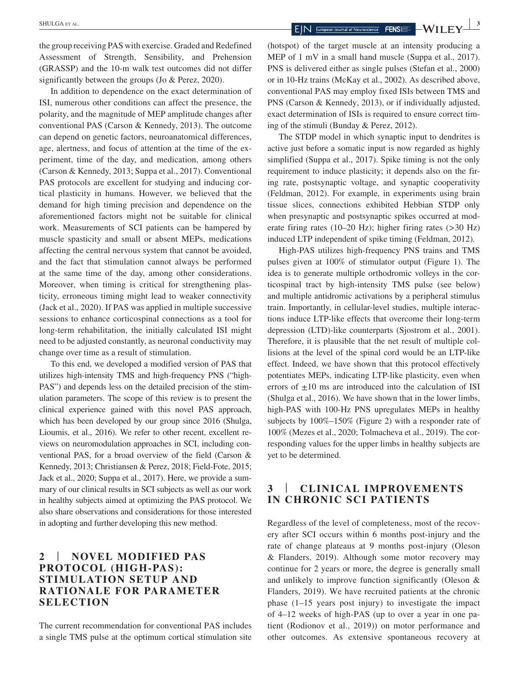the group receiving PAS with exercise. Graded and Redefined Assessment of Strength, Sensibility, and Prehension (GRASSP) and the 10-m walk test outcomes did not differ significantly between the groups (Jo & Perez, 2020).

In addition to dependence on the exact determination of ISI, numerous other conditions can affect the presence, the polarity, and the magnitude of MEP amplitude changes after conventional PAS (Carson & Kennedy, 2013). The outcome can depend on genetic factors, neuroanatomical differences, age, alertness, and focus of attention at the time of the experiment, time of the day, and medication, among others (Carson & Kennedy, 2013; Suppa et al., 2017). Conventional PAS protocols are excellent for studying and inducing cortical plasticity in humans. However, we believed that the demand for high timing precision and dependence on the aforementioned factors might not be suitable for clinical work. Measurements of SCI patients can be hampered by muscle spasticity and small or absent MEPs, medications affecting the central nervous system that cannot be avoided, and the fact that stimulation cannot always be performed at the same time of the day, among other considerations. Moreover, when timing is critical for strengthening plasticity, erroneous timing might lead to weaker connectivity (Jack et al., 2020). If PAS was applied in multiple successive sessions to enhance corticospinal connections as a tool for long-term rehabilitation, the initially calculated ISI might need to be adjusted constantly, as neuronal conductivity may change over time as a result of stimulation.

To this end, we developed a modified version of PAS that utilizes high-intensity TMS and high-frequency PNS ("high-PAS") and depends less on the detailed precision of the stimulation parameters. The scope of this review is to present the clinical experience gained with this novel PAS approach, which has been developed by our group since 2016 (Shulga, Lioumis, et al., 2016). We refer to other recent, excellent reviews on neuromodulation approaches in SCI, including conventional PAS, for a broad overview of the field (Carson & Kennedy, 2013; Christiansen & Perez, 2018; Field-Fote, 2015; Jack et al., 2020; Suppa et al., 2017). Here, we provide a summary of our clinical results in SCI subjects as well as our work in healthy subjects aimed at optimizing the PAS protocol. We also share observations and considerations for those interested in adopting and further developing this new method.

# **2** | **NOVEL MODIFIED PAS PROTOCOL (HIGH-PAS): STIMULATION SETUP AND RATIONALE FOR PARAMETER SELECTION**

The current recommendation for conventional PAS includes a single TMS pulse at the optimum cortical stimulation site

(hotspot) of the target muscle at an intensity producing a MEP of 1 mV in a small hand muscle (Suppa et al., 2017). PNS is delivered either as single pulses (Stefan et al., 2000) or in 10-Hz trains (McKay et al., 2002). As described above, conventional PAS may employ fixed ISIs between TMS and PNS (Carson & Kennedy, 2013), or if individually adjusted, exact determination of ISIs is required to ensure correct timing of the stimuli (Bunday & Perez, 2012).

The STDP model in which synaptic input to dendrites is active just before a somatic input is now regarded as highly simplified (Suppa et al., 2017). Spike timing is not the only requirement to induce plasticity; it depends also on the firing rate, postsynaptic voltage, and synaptic cooperativity (Feldman, 2012). For example, in experiments using brain tissue slices, connections exhibited Hebbian STDP only when presynaptic and postsynaptic spikes occurred at moderate firing rates (10–20 Hz); higher firing rates  $(>30$  Hz) induced LTP independent of spike timing (Feldman, 2012).

High-PAS utilizes high-frequency PNS trains and TMS pulses given at 100% of stimulator output (Figure 1). The idea is to generate multiple orthodromic volleys in the corticospinal tract by high-intensity TMS pulse (see below) and multiple antidromic activations by a peripheral stimulus train. Importantly, in cellular-level studies, multiple interactions induce LTP-like effects that overcome their long-term depression (LTD)-like counterparts (Sjostrom et al., 2001). Therefore, it is plausible that the net result of multiple collisions at the level of the spinal cord would be an LTP-like effect. Indeed, we have shown that this protocol effectively potentiates MEPs, indicating LTP-like plasticity, even when errors of  $\pm 10$  ms are introduced into the calculation of ISI (Shulga et al., 2016). We have shown that in the lower limbs, high-PAS with 100-Hz PNS upregulates MEPs in healthy subjects by 100%–150% (Figure 2) with a responder rate of 100% (Mezes et al., 2020; Tolmacheva et al., 2019). The corresponding values for the upper limbs in healthy subjects are yet to be determined.

# **3** | **CLINICAL IMPROVEMENTS IN CHRONIC SCI PATIENTS**

Regardless of the level of completeness, most of the recovery after SCI occurs within 6 months post-injury and the rate of change plateaus at 9 months post-injury (Oleson & Flanders, 2019). Although some motor recovery may continue for 2 years or more, the degree is generally small and unlikely to improve function significantly (Oleson & Flanders, 2019). We have recruited patients at the chronic phase  $(1-15)$  years post injury) to investigate the impact of 4–12 weeks of high-PAS (up to over a year in one patient (Rodionov et al., 2019)) on motor performance and other outcomes. As extensive spontaneous recovery at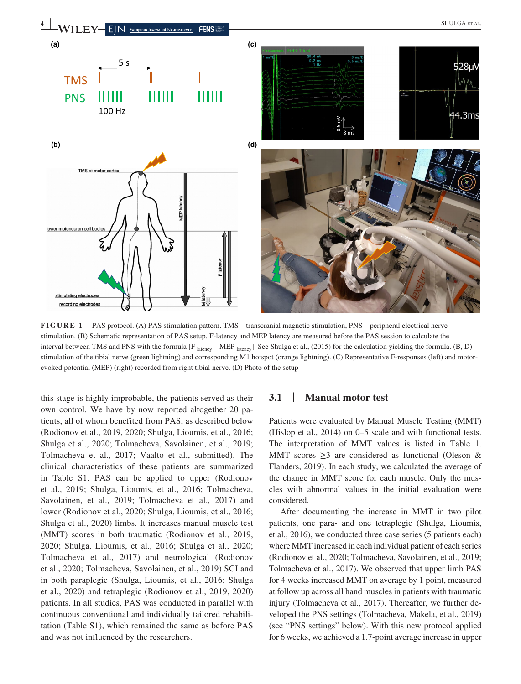

**FIGURE 1** PAS protocol. (A) PAS stimulation pattern. TMS – transcranial magnetic stimulation, PNS – peripheral electrical nerve stimulation. (B) Schematic representation of PAS setup. F-latency and MEP latency are measured before the PAS session to calculate the interval between TMS and PNS with the formula  $[F_{\text{latency}} - \text{MEP}_{\text{latency}}]$ . See Shulga et al., (2015) for the calculation yielding the formula. (B, D) stimulation of the tibial nerve (green lightning) and corresponding M1 hotspot (orange lightning). (C) Representative F-responses (left) and motorevoked potential (MEP) (right) recorded from right tibial nerve. (D) Photo of the setup

this stage is highly improbable, the patients served as their own control. We have by now reported altogether 20 patients, all of whom benefited from PAS, as described below (Rodionov et al., 2019, 2020; Shulga, Lioumis, et al., 2016; Shulga et al., 2020; Tolmacheva, Savolainen, et al., 2019; Tolmacheva et al., 2017; Vaalto et al., submitted). The clinical characteristics of these patients are summarized in Table S1. PAS can be applied to upper (Rodionov et al., 2019; Shulga, Lioumis, et al., 2016; Tolmacheva, Savolainen, et al., 2019; Tolmacheva et al., 2017) and lower (Rodionov et al., 2020; Shulga, Lioumis, et al., 2016; Shulga et al., 2020) limbs. It increases manual muscle test (MMT) scores in both traumatic (Rodionov et al., 2019, 2020; Shulga, Lioumis, et al., 2016; Shulga et al., 2020; Tolmacheva et al., 2017) and neurological (Rodionov et al., 2020; Tolmacheva, Savolainen, et al., 2019) SCI and in both paraplegic (Shulga, Lioumis, et al., 2016; Shulga et al., 2020) and tetraplegic (Rodionov et al., 2019, 2020) patients. In all studies, PAS was conducted in parallel with continuous conventional and individually tailored rehabilitation (Table S1), which remained the same as before PAS and was not influenced by the researchers.

#### **3.1** | **Manual motor test**

Patients were evaluated by Manual Muscle Testing (MMT) (Hislop et al., 2014) on 0–5 scale and with functional tests. The interpretation of MMT values is listed in Table 1. MMT scores  $\geq$ 3 are considered as functional (Oleson & Flanders, 2019). In each study, we calculated the average of the change in MMT score for each muscle. Only the muscles with abnormal values in the initial evaluation were considered.

After documenting the increase in MMT in two pilot patients, one para- and one tetraplegic (Shulga, Lioumis, et al., 2016), we conducted three case series (5 patients each) where MMT increased in each individual patient of each series (Rodionov et al., 2020; Tolmacheva, Savolainen, et al., 2019; Tolmacheva et al., 2017). We observed that upper limb PAS for 4 weeks increased MMT on average by 1 point, measured at follow up across all hand muscles in patients with traumatic injury (Tolmacheva et al., 2017). Thereafter, we further developed the PNS settings (Tolmacheva, Makela, et al., 2019) (see "PNS settings" below). With this new protocol applied for 6 weeks, we achieved a 1.7-point average increase in upper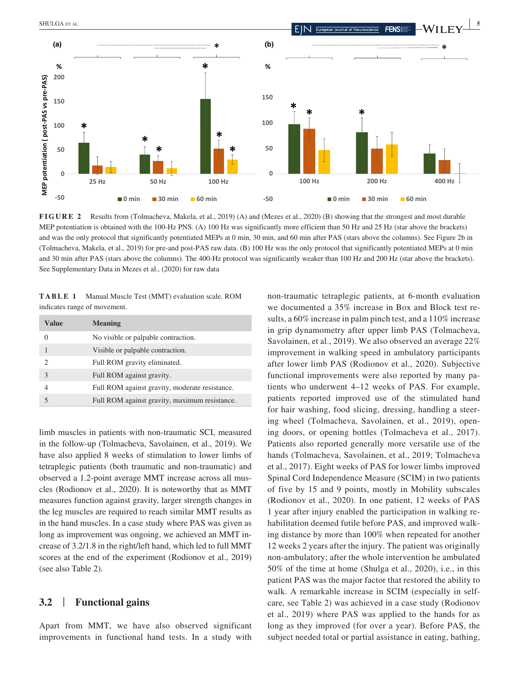

**FIGURE 2** Results from (Tolmacheva, Makela, et al., 2019) (A) and (Mezes et al., 2020) (B) showing that the strongest and most durable MEP potentiation is obtained with the 100-Hz PNS. (A) 100 Hz was significantly more efficient than 50 Hz and 25 Hz (star above the brackets) and was the only protocol that significantly potentiated MEPs at 0 min, 30 min, and 60 min after PAS (stars above the columns). See Figure 2b in (Tolmacheva, Makela, et al., 2019) for pre-and post-PAS raw data. (B) 100 Hz was the only protocol that significantly potentiated MEPs at 0 min and 30 min after PAS (stars above the columns). The 400-Hz protocol was significantly weaker than 100 Hz and 200 Hz (star above the brackets).

**TABLE 1** Manual Muscle Test (MMT) evaluation scale. ROM indicates range of movement.

| Value                    | <b>Meaning</b>                                 |
|--------------------------|------------------------------------------------|
| $\Omega$                 | No visible or palpable contraction.            |
| 1                        | Visible or palpable contraction.               |
| $\mathcal{D}$            | Full ROM gravity eliminated.                   |
| $\mathcal{E}$            | Full ROM against gravity.                      |
| 4                        | Full ROM against gravity, moderate resistance. |
| $\overline{\phantom{0}}$ | Full ROM against gravity, maximum resistance.  |

limb muscles in patients with non-traumatic SCI, measured in the follow-up (Tolmacheva, Savolainen, et al., 2019). We have also applied 8 weeks of stimulation to lower limbs of tetraplegic patients (both traumatic and non-traumatic) and observed a 1.2-point average MMT increase across all muscles (Rodionov et al., 2020). It is noteworthy that as MMT measures function against gravity, larger strength changes in the leg muscles are required to reach similar MMT results as in the hand muscles. In a case study where PAS was given as long as improvement was ongoing, we achieved an MMT increase of 3.2/1.8 in the right/left hand, which led to full MMT scores at the end of the experiment (Rodionov et al., 2019) (see also Table 2).

## **3.2** | **Functional gains**

Apart from MMT, we have also observed significant improvements in functional hand tests. In a study with non-traumatic tetraplegic patients, at 6-month evaluation we documented a 35% increase in Box and Block test results, a 60% increase in palm pinch test, and a 110% increase in grip dynamometry after upper limb PAS (Tolmacheva, Savolainen, et al., 2019). We also observed an average 22% improvement in walking speed in ambulatory participants after lower limb PAS (Rodionov et al., 2020). Subjective functional improvements were also reported by many patients who underwent 4–12 weeks of PAS. For example, patients reported improved use of the stimulated hand for hair washing, food slicing, dressing, handling a steering wheel (Tolmacheva, Savolainen, et al., 2019), opening doors, or opening bottles (Tolmacheva et al., 2017). Patients also reported generally more versatile use of the hands (Tolmacheva, Savolainen, et al., 2019; Tolmacheva et al., 2017). Eight weeks of PAS for lower limbs improved Spinal Cord Independence Measure (SCIM) in two patients of five by 15 and 9 points, mostly in Mobility subscales (Rodionov et al., 2020). In one patient, 12 weeks of PAS 1 year after injury enabled the participation in walking rehabilitation deemed futile before PAS, and improved walking distance by more than 100% when repeated for another 12 weeks 2 years after the injury. The patient was originally non-ambulatory; after the whole intervention he ambulated 50% of the time at home (Shulga et al., 2020), i.e., in this patient PAS was the major factor that restored the ability to walk. A remarkable increase in SCIM (especially in selfcare, see Table 2) was achieved in a case study (Rodionov et al., 2019) where PAS was applied to the hands for as long as they improved (for over a year). Before PAS, the subject needed total or partial assistance in eating, bathing,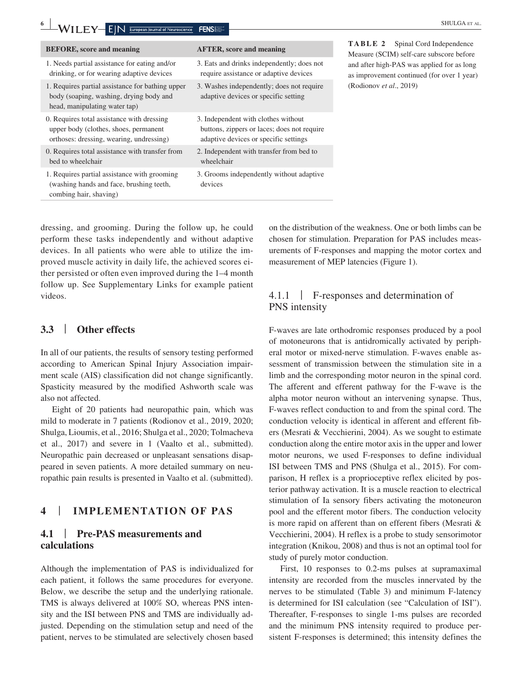| $\mathbf{6}$<br>$-WILEY-$<br>$N$ European Journal of Neuroscience                                                               | <b>FENSI</b>                                                                                                                | <b>SHULGA ET AL</b>                                                                      |
|---------------------------------------------------------------------------------------------------------------------------------|-----------------------------------------------------------------------------------------------------------------------------|------------------------------------------------------------------------------------------|
| <b>BEFORE, score and meaning</b>                                                                                                | <b>AFTER, score and meaning</b>                                                                                             | TABLE 2<br>Spinal Cord Independence<br>Measure (SCIM) self-care subscore before          |
| 1. Needs partial assistance for eating and/or<br>drinking, or for wearing adaptive devices                                      | 3. Eats and drinks independently; does not<br>require assistance or adaptive devices                                        | and after high-PAS was applied for as long<br>as improvement continued (for over 1 year) |
| 1. Requires partial assistance for bathing upper<br>body (soaping, washing, drying body and<br>head, manipulating water tap)    | 3. Washes independently; does not require<br>adaptive devices or specific setting                                           | (Rodionov et al., 2019)                                                                  |
| 0. Requires total assistance with dressing<br>upper body (clothes, shoes, permanent<br>orthoses: dressing, wearing, undressing) | 3. Independent with clothes without<br>buttons, zippers or laces; does not require<br>adaptive devices or specific settings |                                                                                          |
| 0. Requires total assistance with transfer from<br>bed to wheelchair                                                            | 2. Independent with transfer from bed to<br>wheelchair                                                                      |                                                                                          |
| 1. Requires partial assistance with grooming<br>(washing hands and face, brushing teeth,<br>combing hair, shaving)              | 3. Grooms independently without adaptive<br>devices                                                                         |                                                                                          |

dressing, and grooming. During the follow up, he could perform these tasks independently and without adaptive devices. In all patients who were able to utilize the improved muscle activity in daily life, the achieved scores either persisted or often even improved during the 1–4 month follow up. See Supplementary Links for example patient videos.

# **3.3** | **Other effects**

In all of our patients, the results of sensory testing performed according to American Spinal Injury Association impairment scale (AIS) classification did not change significantly. Spasticity measured by the modified Ashworth scale was also not affected.

Eight of 20 patients had neuropathic pain, which was mild to moderate in 7 patients (Rodionov et al., 2019, 2020; Shulga, Lioumis, et al., 2016; Shulga et al., 2020; Tolmacheva et al., 2017) and severe in 1 (Vaalto et al., submitted). Neuropathic pain decreased or unpleasant sensations disappeared in seven patients. A more detailed summary on neuropathic pain results is presented in Vaalto et al. (submitted).

# **4** | **IMPLEMENTATION OF PAS**

# **4.1** | **Pre-PAS measurements and calculations**

Although the implementation of PAS is individualized for each patient, it follows the same procedures for everyone. Below, we describe the setup and the underlying rationale. TMS is always delivered at 100% SO, whereas PNS intensity and the ISI between PNS and TMS are individually adjusted. Depending on the stimulation setup and need of the patient, nerves to be stimulated are selectively chosen based on the distribution of the weakness. One or both limbs can be chosen for stimulation. Preparation for PAS includes measurements of F-responses and mapping the motor cortex and measurement of MEP latencies (Figure 1).

# 4.1.1 | F-responses and determination of PNS intensity

F-waves are late orthodromic responses produced by a pool of motoneurons that is antidromically activated by peripheral motor or mixed-nerve stimulation. F-waves enable assessment of transmission between the stimulation site in a limb and the corresponding motor neuron in the spinal cord. The afferent and efferent pathway for the F-wave is the alpha motor neuron without an intervening synapse. Thus, F-waves reflect conduction to and from the spinal cord. The conduction velocity is identical in afferent and efferent fibers (Mesrati & Vecchierini, 2004). As we sought to estimate conduction along the entire motor axis in the upper and lower motor neurons, we used F-responses to define individual ISI between TMS and PNS (Shulga et al., 2015). For comparison, H reflex is a proprioceptive reflex elicited by posterior pathway activation. It is a muscle reaction to electrical stimulation of Ia sensory fibers activating the motoneuron pool and the efferent motor fibers. The conduction velocity is more rapid on afferent than on efferent fibers (Mesrati & Vecchierini, 2004). H reflex is a probe to study sensorimotor integration (Knikou, 2008) and thus is not an optimal tool for study of purely motor conduction.

First, 10 responses to 0.2-ms pulses at supramaximal intensity are recorded from the muscles innervated by the nerves to be stimulated (Table 3) and minimum F-latency is determined for ISI calculation (see "Calculation of ISI"). Thereafter, F-responses to single 1-ms pulses are recorded and the minimum PNS intensity required to produce persistent F-responses is determined; this intensity defines the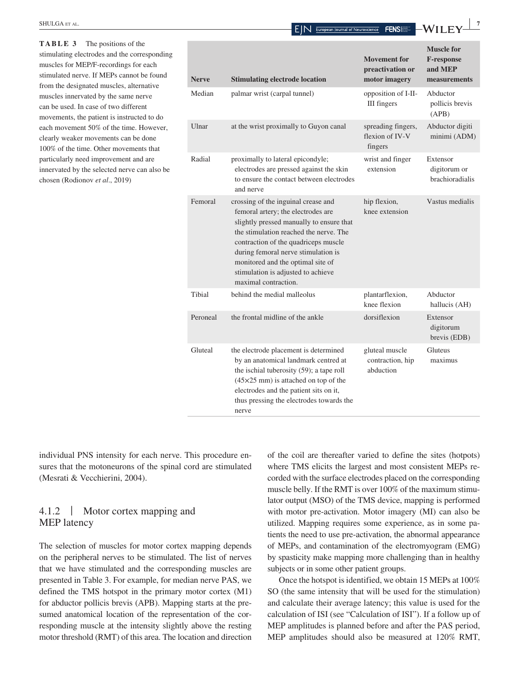**EXAMPLE EXAMPLE EXAMPLE EXAMPLE EXAMPLE EXAMPLE EXAMPLE EXAMPLE EXAMPLE EXAMPLE EXAMPLE EXAMPLE EXAMPLE EXAMPLE EXAMPLE EXAMPLE EXAMPLE EXAMPLE EXAMPLE EXAMPLE EXAMPLE EXAMPLE EXAMPLE EXAMPLE EXAMPLE EXAMPLE EXAMPLE EXAM** 

| <b>Nerve</b> | <b>Stimulating electrode location</b>                                                                                                                                                                                                                                                                                                             | <b>Movement</b> for<br>preactivation or<br>motor imagery | <b>Muscle for</b><br><b>F-response</b><br>and MEP<br>measurements |
|--------------|---------------------------------------------------------------------------------------------------------------------------------------------------------------------------------------------------------------------------------------------------------------------------------------------------------------------------------------------------|----------------------------------------------------------|-------------------------------------------------------------------|
| Median       | palmar wrist (carpal tunnel)                                                                                                                                                                                                                                                                                                                      | opposition of I-II-<br>III fingers                       | Abductor<br>pollicis brevis<br>(APB)                              |
| Ulnar        | at the wrist proximally to Guyon canal                                                                                                                                                                                                                                                                                                            | spreading fingers,<br>flexion of IV-V<br>fingers         | Abductor digiti<br>minimi (ADM)                                   |
| Radial       | proximally to lateral epicondyle;<br>electrodes are pressed against the skin<br>to ensure the contact between electrodes<br>and nerve                                                                                                                                                                                                             | wrist and finger<br>extension                            | Extensor<br>digitorum or<br>brachioradialis                       |
| Femoral      | crossing of the inguinal crease and<br>femoral artery; the electrodes are<br>slightly pressed manually to ensure that<br>the stimulation reached the nerve. The<br>contraction of the quadriceps muscle<br>during femoral nerve stimulation is<br>monitored and the optimal site of<br>stimulation is adjusted to achieve<br>maximal contraction. | hip flexion,<br>knee extension                           | Vastus medialis                                                   |
| Tibial       | behind the medial malleolus                                                                                                                                                                                                                                                                                                                       | plantarflexion.<br>knee flexion                          | Abductor<br>hallucis (AH)                                         |
| Peroneal     | the frontal midline of the ankle                                                                                                                                                                                                                                                                                                                  | dorsiflexion                                             | Extensor<br>digitorum<br>brevis (EDB)                             |
| Gluteal      | the electrode placement is determined<br>by an anatomical landmark centred at<br>the ischial tuberosity (59); a tape roll<br>$(45\times25$ mm) is attached on top of the<br>electrodes and the patient sits on it,<br>thus pressing the electrodes towards the<br>nerve                                                                           | gluteal muscle<br>contraction, hip<br>abduction          | Gluteus<br>maximus                                                |

**TABLE 3** The positions of the stimulating electrodes and the corresponding muscles for MEP/F-recordings for each stimulated nerve. If MEPs cannot be found from the designated muscles, alternative muscles innervated by the same nerve can be used. In case of two different movements, the patient is instructed to do each movement 50% of the time. However, clearly weaker movements can be done 100% of the time. Other movements that particularly need improvement and are innervated by the selected nerve can also be chosen (Rodionov *et al*., 2019)

individual PNS intensity for each nerve. This procedure ensures that the motoneurons of the spinal cord are stimulated (Mesrati & Vecchierini, 2004).

# 4.1.2 | Motor cortex mapping and MEP latency

The selection of muscles for motor cortex mapping depends on the peripheral nerves to be stimulated. The list of nerves that we have stimulated and the corresponding muscles are presented in Table 3. For example, for median nerve PAS, we defined the TMS hotspot in the primary motor cortex (M1) for abductor pollicis brevis (APB). Mapping starts at the presumed anatomical location of the representation of the corresponding muscle at the intensity slightly above the resting motor threshold (RMT) of this area. The location and direction of the coil are thereafter varied to define the sites (hotpots) where TMS elicits the largest and most consistent MEPs recorded with the surface electrodes placed on the corresponding muscle belly. If the RMT is over 100% of the maximum stimulator output (MSO) of the TMS device, mapping is performed with motor pre-activation. Motor imagery (MI) can also be utilized. Mapping requires some experience, as in some patients the need to use pre-activation, the abnormal appearance of MEPs, and contamination of the electromyogram (EMG) by spasticity make mapping more challenging than in healthy subjects or in some other patient groups.

Once the hotspot is identified, we obtain 15 MEPs at 100% SO (the same intensity that will be used for the stimulation) and calculate their average latency; this value is used for the calculation of ISI (see "Calculation of ISI"). If a follow up of MEP amplitudes is planned before and after the PAS period, MEP amplitudes should also be measured at 120% RMT,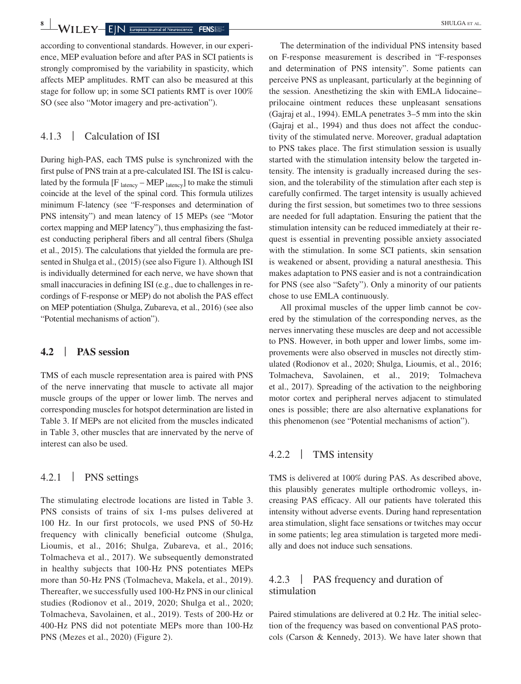**8 WILEY** EIN European Journal of Neuroscience FENS

according to conventional standards. However, in our experience, MEP evaluation before and after PAS in SCI patients is strongly compromised by the variability in spasticity, which affects MEP amplitudes. RMT can also be measured at this stage for follow up; in some SCI patients RMT is over 100% SO (see also "Motor imagery and pre-activation").

## 4.1.3 | Calculation of ISI

During high-PAS, each TMS pulse is synchronized with the first pulse of PNS train at a pre-calculated ISI. The ISI is calculated by the formula  $[F_{\text{latency}} - \text{MEP}_{\text{latency}}]$  to make the stimuli coincide at the level of the spinal cord. This formula utilizes minimum F-latency (see "F-responses and determination of PNS intensity") and mean latency of 15 MEPs (see "Motor cortex mapping and MEP latency"), thus emphasizing the fastest conducting peripheral fibers and all central fibers (Shulga et al., 2015). The calculations that yielded the formula are presented in Shulga et al., (2015) (see also Figure 1). Although ISI is individually determined for each nerve, we have shown that small inaccuracies in defining ISI (e.g., due to challenges in recordings of F-response or MEP) do not abolish the PAS effect on MEP potentiation (Shulga, Zubareva, et al., 2016) (see also "Potential mechanisms of action").

## **4.2** | **PAS session**

TMS of each muscle representation area is paired with PNS of the nerve innervating that muscle to activate all major muscle groups of the upper or lower limb. The nerves and corresponding muscles for hotspot determination are listed in Table 3. If MEPs are not elicited from the muscles indicated in Table 3, other muscles that are innervated by the nerve of interest can also be used.

# 4.2.1 | PNS settings

The stimulating electrode locations are listed in Table 3. PNS consists of trains of six 1-ms pulses delivered at 100 Hz. In our first protocols, we used PNS of 50-Hz frequency with clinically beneficial outcome (Shulga, Lioumis, et al., 2016; Shulga, Zubareva, et al., 2016; Tolmacheva et al., 2017). We subsequently demonstrated in healthy subjects that 100-Hz PNS potentiates MEPs more than 50-Hz PNS (Tolmacheva, Makela, et al., 2019). Thereafter, we successfully used 100-Hz PNS in our clinical studies (Rodionov et al., 2019, 2020; Shulga et al., 2020; Tolmacheva, Savolainen, et al., 2019). Tests of 200-Hz or 400-Hz PNS did not potentiate MEPs more than 100-Hz PNS (Mezes et al., 2020) (Figure 2).

The determination of the individual PNS intensity based on F-response measurement is described in "F-responses and determination of PNS intensity". Some patients can perceive PNS as unpleasant, particularly at the beginning of the session. Anesthetizing the skin with EMLA lidocaine– prilocaine ointment reduces these unpleasant sensations (Gajraj et al., 1994). EMLA penetrates 3–5 mm into the skin (Gajraj et al., 1994) and thus does not affect the conductivity of the stimulated nerve. Moreover, gradual adaptation to PNS takes place. The first stimulation session is usually started with the stimulation intensity below the targeted intensity. The intensity is gradually increased during the session, and the tolerability of the stimulation after each step is carefully confirmed. The target intensity is usually achieved during the first session, but sometimes two to three sessions are needed for full adaptation. Ensuring the patient that the stimulation intensity can be reduced immediately at their request is essential in preventing possible anxiety associated with the stimulation. In some SCI patients, skin sensation is weakened or absent, providing a natural anesthesia. This makes adaptation to PNS easier and is not a contraindication for PNS (see also "Safety"). Only a minority of our patients chose to use EMLA continuously.

All proximal muscles of the upper limb cannot be covered by the stimulation of the corresponding nerves, as the nerves innervating these muscles are deep and not accessible to PNS. However, in both upper and lower limbs, some improvements were also observed in muscles not directly stimulated (Rodionov et al., 2020; Shulga, Lioumis, et al., 2016; Tolmacheva, Savolainen, et al., 2019; Tolmacheva et al., 2017). Spreading of the activation to the neighboring motor cortex and peripheral nerves adjacent to stimulated ones is possible; there are also alternative explanations for this phenomenon (see "Potential mechanisms of action").

## 4.2.2 | TMS intensity

TMS is delivered at 100% during PAS. As described above, this plausibly generates multiple orthodromic volleys, increasing PAS efficacy. All our patients have tolerated this intensity without adverse events. During hand representation area stimulation, slight face sensations or twitches may occur in some patients; leg area stimulation is targeted more medially and does not induce such sensations.

# 4.2.3 | PAS frequency and duration of stimulation

Paired stimulations are delivered at 0.2 Hz. The initial selection of the frequency was based on conventional PAS protocols (Carson & Kennedy, 2013). We have later shown that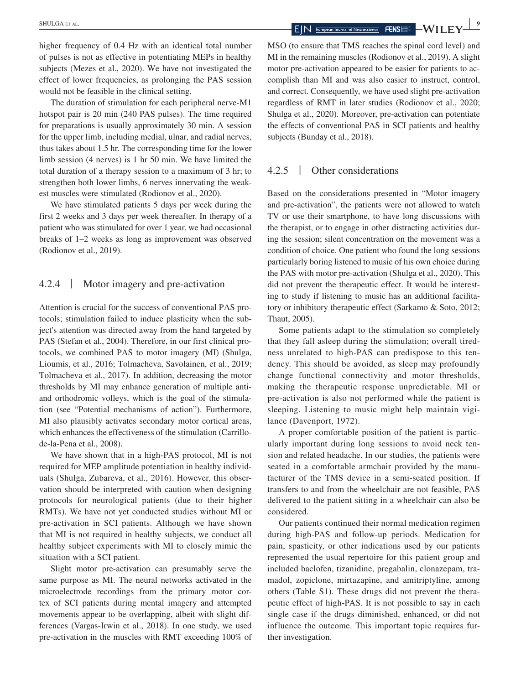higher frequency of 0.4 Hz with an identical total number of pulses is not as effective in potentiating MEPs in healthy subjects (Mezes et al., 2020). We have not investigated the effect of lower frequencies, as prolonging the PAS session would not be feasible in the clinical setting.

The duration of stimulation for each peripheral nerve-M1 hotspot pair is 20 min (240 PAS pulses). The time required for preparations is usually approximately 30 min. A session for the upper limb, including medial, ulnar, and radial nerves, thus takes about 1.5 hr. The corresponding time for the lower limb session (4 nerves) is 1 hr 50 min. We have limited the total duration of a therapy session to a maximum of 3 hr; to strengthen both lower limbs, 6 nerves innervating the weakest muscles were stimulated (Rodionov et al., 2020).

We have stimulated patients 5 days per week during the first 2 weeks and 3 days per week thereafter. In therapy of a patient who was stimulated for over 1 year, we had occasional breaks of 1–2 weeks as long as improvement was observed (Rodionov et al., 2019).

## 4.2.4 | Motor imagery and pre-activation

Attention is crucial for the success of conventional PAS protocols; stimulation failed to induce plasticity when the subject's attention was directed away from the hand targeted by PAS (Stefan et al., 2004). Therefore, in our first clinical protocols, we combined PAS to motor imagery (MI) (Shulga, Lioumis, et al., 2016; Tolmacheva, Savolainen, et al., 2019; Tolmacheva et al., 2017). In addition, decreasing the motor thresholds by MI may enhance generation of multiple antiand orthodromic volleys, which is the goal of the stimulation (see "Potential mechanisms of action"). Furthermore, MI also plausibly activates secondary motor cortical areas, which enhances the effectiveness of the stimulation (Carrillode-la-Pena et al., 2008).

We have shown that in a high-PAS protocol, MI is not required for MEP amplitude potentiation in healthy individuals (Shulga, Zubareva, et al., 2016). However, this observation should be interpreted with caution when designing protocols for neurological patients (due to their higher RMTs). We have not yet conducted studies without MI or pre-activation in SCI patients. Although we have shown that MI is not required in healthy subjects, we conduct all healthy subject experiments with MI to closely mimic the situation with a SCI patient.

Slight motor pre-activation can presumably serve the same purpose as MI. The neural networks activated in the microelectrode recordings from the primary motor cortex of SCI patients during mental imagery and attempted movements appear to be overlapping, albeit with slight differences (Vargas-Irwin et al., 2018). In one study, we used pre-activation in the muscles with RMT exceeding 100% of

MSO (to ensure that TMS reaches the spinal cord level) and MI in the remaining muscles (Rodionov et al., 2019). A slight motor pre-activation appeared to be easier for patients to accomplish than MI and was also easier to instruct, control, and correct. Consequently, we have used slight pre-activation regardless of RMT in later studies (Rodionov et al., 2020; Shulga et al., 2020). Moreover, pre-activation can potentiate the effects of conventional PAS in SCI patients and healthy subjects (Bunday et al., 2018).

## 4.2.5 | Other considerations

Based on the considerations presented in "Motor imagery and pre-activation", the patients were not allowed to watch TV or use their smartphone, to have long discussions with the therapist, or to engage in other distracting activities during the session; silent concentration on the movement was a condition of choice. One patient who found the long sessions particularly boring listened to music of his own choice during the PAS with motor pre-activation (Shulga et al., 2020). This did not prevent the therapeutic effect. It would be interesting to study if listening to music has an additional facilitatory or inhibitory therapeutic effect (Sarkamo & Soto, 2012; Thaut, 2005).

Some patients adapt to the stimulation so completely that they fall asleep during the stimulation; overall tiredness unrelated to high-PAS can predispose to this tendency. This should be avoided, as sleep may profoundly change functional connectivity and motor thresholds, making the therapeutic response unpredictable. MI or pre-activation is also not performed while the patient is sleeping. Listening to music might help maintain vigilance (Davenport, 1972).

A proper comfortable position of the patient is particularly important during long sessions to avoid neck tension and related headache. In our studies, the patients were seated in a comfortable armchair provided by the manufacturer of the TMS device in a semi-seated position. If transfers to and from the wheelchair are not feasible, PAS delivered to the patient sitting in a wheelchair can also be considered.

Our patients continued their normal medication regimen during high-PAS and follow-up periods. Medication for pain, spasticity, or other indications used by our patients represented the usual repertoire for this patient group and included baclofen, tizanidine, pregabalin, clonazepam, tramadol, zopiclone, mirtazapine, and amitriptyline, among others (Table S1). These drugs did not prevent the therapeutic effect of high-PAS. It is not possible to say in each single case if the drugs diminished, enhanced, or did not influence the outcome. This important topic requires further investigation.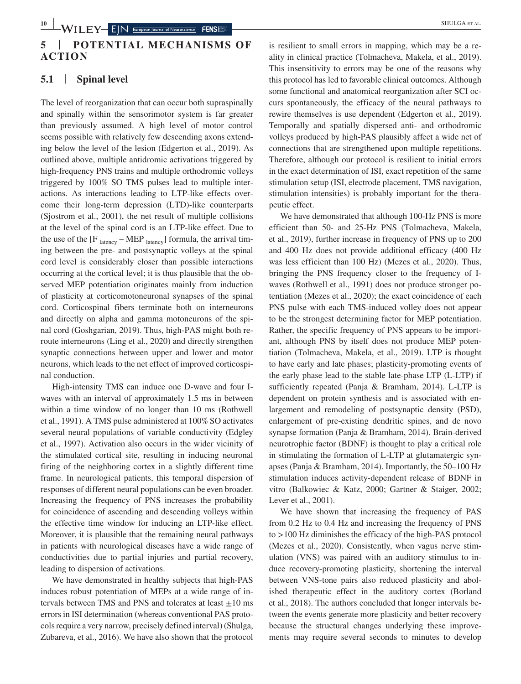# **5** | **POTENTIAL MECHANISMS OF ACTION**

# **5.1** | **Spinal level**

The level of reorganization that can occur both supraspinally and spinally within the sensorimotor system is far greater than previously assumed. A high level of motor control seems possible with relatively few descending axons extending below the level of the lesion (Edgerton et al., 2019). As outlined above, multiple antidromic activations triggered by high-frequency PNS trains and multiple orthodromic volleys triggered by 100% SO TMS pulses lead to multiple interactions. As interactions leading to LTP-like effects overcome their long-term depression (LTD)-like counterparts (Sjostrom et al., 2001), the net result of multiple collisions at the level of the spinal cord is an LTP-like effect. Due to the use of the  $[F_{\text{latency}} - \text{MEP}_{\text{latency}}]$  formula, the arrival timing between the pre- and postsynaptic volleys at the spinal cord level is considerably closer than possible interactions occurring at the cortical level; it is thus plausible that the observed MEP potentiation originates mainly from induction of plasticity at corticomotoneuronal synapses of the spinal cord. Corticospinal fibers terminate both on interneurons and directly on alpha and gamma motoneurons of the spinal cord (Goshgarian, 2019). Thus, high-PAS might both reroute interneurons (Ling et al., 2020) and directly strengthen synaptic connections between upper and lower and motor neurons, which leads to the net effect of improved corticospinal conduction.

High-intensity TMS can induce one D-wave and four Iwaves with an interval of approximately 1.5 ms in between within a time window of no longer than 10 ms (Rothwell et al., 1991). A TMS pulse administered at 100% SO activates several neural populations of variable conductivity (Edgley et al., 1997). Activation also occurs in the wider vicinity of the stimulated cortical site, resulting in inducing neuronal firing of the neighboring cortex in a slightly different time frame. In neurological patients, this temporal dispersion of responses of different neural populations can be even broader. Increasing the frequency of PNS increases the probability for coincidence of ascending and descending volleys within the effective time window for inducing an LTP-like effect. Moreover, it is plausible that the remaining neural pathways in patients with neurological diseases have a wide range of conductivities due to partial injuries and partial recovery, leading to dispersion of activations.

We have demonstrated in healthy subjects that high-PAS induces robust potentiation of MEPs at a wide range of intervals between TMS and PNS and tolerates at least  $\pm 10$  ms errors in ISI determination (whereas conventional PAS protocols require a very narrow, precisely defined interval) (Shulga, Zubareva, et al., 2016). We have also shown that the protocol

is resilient to small errors in mapping, which may be a reality in clinical practice (Tolmacheva, Makela, et al., 2019). This insensitivity to errors may be one of the reasons why this protocol has led to favorable clinical outcomes. Although some functional and anatomical reorganization after SCI occurs spontaneously, the efficacy of the neural pathways to rewire themselves is use dependent (Edgerton et al., 2019). Temporally and spatially dispersed anti- and orthodromic volleys produced by high-PAS plausibly affect a wide net of connections that are strengthened upon multiple repetitions. Therefore, although our protocol is resilient to initial errors in the exact determination of ISI, exact repetition of the same stimulation setup (ISI, electrode placement, TMS navigation, stimulation intensities) is probably important for the therapeutic effect.

We have demonstrated that although 100-Hz PNS is more efficient than 50- and 25-Hz PNS (Tolmacheva, Makela, et al., 2019), further increase in frequency of PNS up to 200 and 400 Hz does not provide additional efficacy (400 Hz was less efficient than 100 Hz) (Mezes et al., 2020). Thus, bringing the PNS frequency closer to the frequency of Iwaves (Rothwell et al., 1991) does not produce stronger potentiation (Mezes et al., 2020); the exact coincidence of each PNS pulse with each TMS-induced volley does not appear to be the strongest determining factor for MEP potentiation. Rather, the specific frequency of PNS appears to be important, although PNS by itself does not produce MEP potentiation (Tolmacheva, Makela, et al., 2019). LTP is thought to have early and late phases; plasticity-promoting events of the early phase lead to the stable late-phase LTP (L-LTP) if sufficiently repeated (Panja & Bramham, 2014). L-LTP is dependent on protein synthesis and is associated with enlargement and remodeling of postsynaptic density (PSD), enlargement of pre-existing dendritic spines, and de novo synapse formation (Panja & Bramham, 2014). Brain-derived neurotrophic factor (BDNF) is thought to play a critical role in stimulating the formation of L-LTP at glutamatergic synapses (Panja & Bramham, 2014). Importantly, the 50–100 Hz stimulation induces activity-dependent release of BDNF in vitro (Balkowiec & Katz, 2000; Gartner & Staiger, 2002; Lever et al., 2001).

We have shown that increasing the frequency of PAS from 0.2 Hz to 0.4 Hz and increasing the frequency of PNS to >100 Hz diminishes the efficacy of the high-PAS protocol (Mezes et al., 2020). Consistently, when vagus nerve stimulation (VNS) was paired with an auditory stimulus to induce recovery-promoting plasticity, shortening the interval between VNS-tone pairs also reduced plasticity and abolished therapeutic effect in the auditory cortex (Borland et al., 2018). The authors concluded that longer intervals between the events generate more plasticity and better recovery because the structural changes underlying these improvements may require several seconds to minutes to develop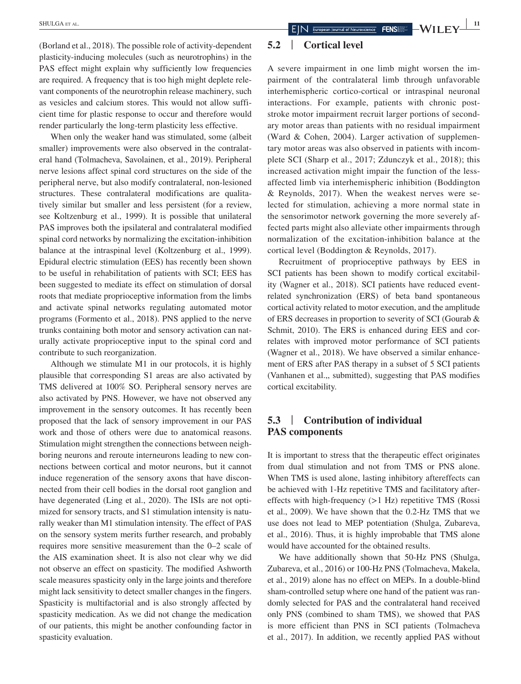(Borland et al., 2018). The possible role of activity-dependent plasticity-inducing molecules (such as neurotrophins) in the PAS effect might explain why sufficiently low frequencies are required. A frequency that is too high might deplete relevant components of the neurotrophin release machinery, such as vesicles and calcium stores. This would not allow sufficient time for plastic response to occur and therefore would render particularly the long-term plasticity less effective.

When only the weaker hand was stimulated, some (albeit smaller) improvements were also observed in the contralateral hand (Tolmacheva, Savolainen, et al., 2019). Peripheral nerve lesions affect spinal cord structures on the side of the peripheral nerve, but also modify contralateral, non-lesioned structures. These contralateral modifications are qualitatively similar but smaller and less persistent (for a review, see Koltzenburg et al., 1999). It is possible that unilateral PAS improves both the ipsilateral and contralateral modified spinal cord networks by normalizing the excitation-inhibition balance at the intraspinal level (Koltzenburg et al., 1999). Epidural electric stimulation (EES) has recently been shown to be useful in rehabilitation of patients with SCI; EES has been suggested to mediate its effect on stimulation of dorsal roots that mediate proprioceptive information from the limbs and activate spinal networks regulating automated motor programs (Formento et al., 2018). PNS applied to the nerve trunks containing both motor and sensory activation can naturally activate proprioceptive input to the spinal cord and contribute to such reorganization.

Although we stimulate M1 in our protocols, it is highly plausible that corresponding S1 areas are also activated by TMS delivered at 100% SO. Peripheral sensory nerves are also activated by PNS. However, we have not observed any improvement in the sensory outcomes. It has recently been proposed that the lack of sensory improvement in our PAS work and those of others were due to anatomical reasons. Stimulation might strengthen the connections between neighboring neurons and reroute interneurons leading to new connections between cortical and motor neurons, but it cannot induce regeneration of the sensory axons that have disconnected from their cell bodies in the dorsal root ganglion and have degenerated (Ling et al., 2020). The ISIs are not optimized for sensory tracts, and S1 stimulation intensity is naturally weaker than M1 stimulation intensity. The effect of PAS on the sensory system merits further research, and probably requires more sensitive measurement than the 0–2 scale of the AIS examination sheet. It is also not clear why we did not observe an effect on spasticity. The modified Ashworth scale measures spasticity only in the large joints and therefore might lack sensitivity to detect smaller changes in the fingers. Spasticity is multifactorial and is also strongly affected by spasticity medication. As we did not change the medication of our patients, this might be another confounding factor in spasticity evaluation.

# **5.2** | **Cortical level**

A severe impairment in one limb might worsen the impairment of the contralateral limb through unfavorable interhemispheric cortico-cortical or intraspinal neuronal interactions. For example, patients with chronic poststroke motor impairment recruit larger portions of secondary motor areas than patients with no residual impairment (Ward & Cohen, 2004). Larger activation of supplementary motor areas was also observed in patients with incomplete SCI (Sharp et al., 2017; Zdunczyk et al., 2018); this increased activation might impair the function of the lessaffected limb via interhemispheric inhibition (Boddington & Reynolds, 2017). When the weakest nerves were selected for stimulation, achieving a more normal state in the sensorimotor network governing the more severely affected parts might also alleviate other impairments through normalization of the excitation-inhibition balance at the cortical level (Boddington & Reynolds, 2017).

Recruitment of proprioceptive pathways by EES in SCI patients has been shown to modify cortical excitability (Wagner et al., 2018). SCI patients have reduced eventrelated synchronization (ERS) of beta band spontaneous cortical activity related to motor execution, and the amplitude of ERS decreases in proportion to severity of SCI (Gourab & Schmit, 2010). The ERS is enhanced during EES and correlates with improved motor performance of SCI patients (Wagner et al., 2018). We have observed a similar enhancement of ERS after PAS therapy in a subset of 5 SCI patients (Vanhanen et al.,, submitted), suggesting that PAS modifies cortical excitability.

# **5.3** | **Contribution of individual PAS components**

It is important to stress that the therapeutic effect originates from dual stimulation and not from TMS or PNS alone. When TMS is used alone, lasting inhibitory aftereffects can be achieved with 1-Hz repetitive TMS and facilitatory aftereffects with high-frequency (>1 Hz) repetitive TMS (Rossi et al., 2009). We have shown that the 0.2-Hz TMS that we use does not lead to MEP potentiation (Shulga, Zubareva, et al., 2016). Thus, it is highly improbable that TMS alone would have accounted for the obtained results.

We have additionally shown that 50-Hz PNS (Shulga, Zubareva, et al., 2016) or 100-Hz PNS (Tolmacheva, Makela, et al., 2019) alone has no effect on MEPs. In a double-blind sham-controlled setup where one hand of the patient was randomly selected for PAS and the contralateral hand received only PNS (combined to sham TMS), we showed that PAS is more efficient than PNS in SCI patients (Tolmacheva et al., 2017). In addition, we recently applied PAS without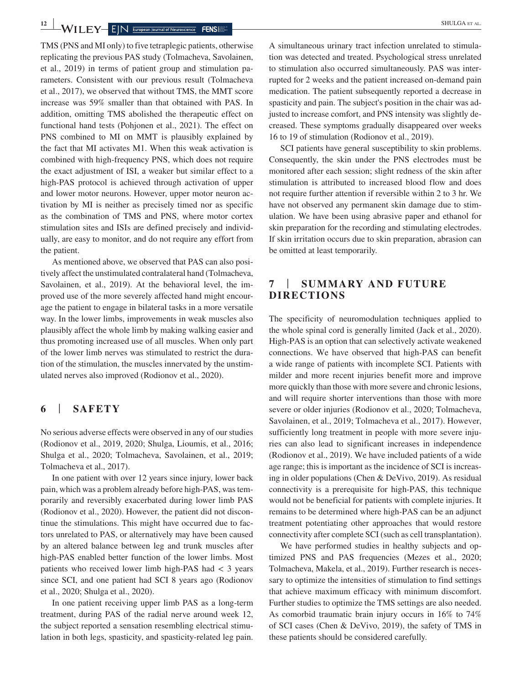$-\text{WIEY}-\text{EIN}$  **E**  $\text{N}$  **Explore an Journal of Neuroscience FENS** 

TMS (PNS and MI only) to five tetraplegic patients, otherwise replicating the previous PAS study (Tolmacheva, Savolainen, et al., 2019) in terms of patient group and stimulation parameters. Consistent with our previous result (Tolmacheva et al., 2017), we observed that without TMS, the MMT score increase was 59% smaller than that obtained with PAS. In addition, omitting TMS abolished the therapeutic effect on functional hand tests (Pohjonen et al., 2021). The effect on PNS combined to MI on MMT is plausibly explained by the fact that MI activates M1. When this weak activation is combined with high-frequency PNS, which does not require the exact adjustment of ISI, a weaker but similar effect to a high-PAS protocol is achieved through activation of upper and lower motor neurons. However, upper motor neuron activation by MI is neither as precisely timed nor as specific as the combination of TMS and PNS, where motor cortex stimulation sites and ISIs are defined precisely and individually, are easy to monitor, and do not require any effort from the patient.

As mentioned above, we observed that PAS can also positively affect the unstimulated contralateral hand (Tolmacheva, Savolainen, et al., 2019). At the behavioral level, the improved use of the more severely affected hand might encourage the patient to engage in bilateral tasks in a more versatile way. In the lower limbs, improvements in weak muscles also plausibly affect the whole limb by making walking easier and thus promoting increased use of all muscles. When only part of the lower limb nerves was stimulated to restrict the duration of the stimulation, the muscles innervated by the unstimulated nerves also improved (Rodionov et al., 2020).

# **6** | **SAFETY**

No serious adverse effects were observed in any of our studies (Rodionov et al., 2019, 2020; Shulga, Lioumis, et al., 2016; Shulga et al., 2020; Tolmacheva, Savolainen, et al., 2019; Tolmacheva et al., 2017).

In one patient with over 12 years since injury, lower back pain, which was a problem already before high-PAS, was temporarily and reversibly exacerbated during lower limb PAS (Rodionov et al., 2020). However, the patient did not discontinue the stimulations. This might have occurred due to factors unrelated to PAS, or alternatively may have been caused by an altered balance between leg and trunk muscles after high-PAS enabled better function of the lower limbs. Most patients who received lower limb high-PAS had  $\lt$  3 years since SCI, and one patient had SCI 8 years ago (Rodionov et al., 2020; Shulga et al., 2020).

In one patient receiving upper limb PAS as a long-term treatment, during PAS of the radial nerve around week 12, the subject reported a sensation resembling electrical stimulation in both legs, spasticity, and spasticity-related leg pain.

A simultaneous urinary tract infection unrelated to stimulation was detected and treated. Psychological stress unrelated to stimulation also occurred simultaneously. PAS was interrupted for 2 weeks and the patient increased on-demand pain medication. The patient subsequently reported a decrease in spasticity and pain. The subject's position in the chair was adjusted to increase comfort, and PNS intensity was slightly decreased. These symptoms gradually disappeared over weeks 16 to 19 of stimulation (Rodionov et al., 2019).

SCI patients have general susceptibility to skin problems. Consequently, the skin under the PNS electrodes must be monitored after each session; slight redness of the skin after stimulation is attributed to increased blood flow and does not require further attention if reversible within 2 to 3 hr. We have not observed any permanent skin damage due to stimulation. We have been using abrasive paper and ethanol for skin preparation for the recording and stimulating electrodes. If skin irritation occurs due to skin preparation, abrasion can be omitted at least temporarily.

# **7** | **SUMMARY AND FUTURE DIRECTIONS**

The specificity of neuromodulation techniques applied to the whole spinal cord is generally limited (Jack et al., 2020). High-PAS is an option that can selectively activate weakened connections. We have observed that high-PAS can benefit a wide range of patients with incomplete SCI. Patients with milder and more recent injuries benefit more and improve more quickly than those with more severe and chronic lesions, and will require shorter interventions than those with more severe or older injuries (Rodionov et al., 2020; Tolmacheva, Savolainen, et al., 2019; Tolmacheva et al., 2017). However, sufficiently long treatment in people with more severe injuries can also lead to significant increases in independence (Rodionov et al., 2019). We have included patients of a wide age range; this is important as the incidence of SCI is increasing in older populations (Chen & DeVivo, 2019). As residual connectivity is a prerequisite for high-PAS, this technique would not be beneficial for patients with complete injuries. It remains to be determined where high-PAS can be an adjunct treatment potentiating other approaches that would restore connectivity after complete SCI (such as cell transplantation).

We have performed studies in healthy subjects and optimized PNS and PAS frequencies (Mezes et al., 2020; Tolmacheva, Makela, et al., 2019). Further research is necessary to optimize the intensities of stimulation to find settings that achieve maximum efficacy with minimum discomfort. Further studies to optimize the TMS settings are also needed. As comorbid traumatic brain injury occurs in 16% to 74% of SCI cases (Chen & DeVivo, 2019), the safety of TMS in these patients should be considered carefully.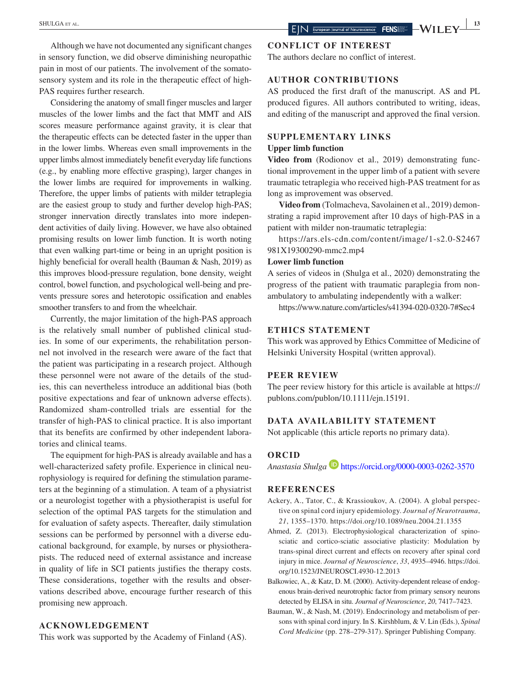Considering the anatomy of small finger muscles and larger muscles of the lower limbs and the fact that MMT and AIS scores measure performance against gravity, it is clear that the therapeutic effects can be detected faster in the upper than in the lower limbs. Whereas even small improvements in the upper limbs almost immediately benefit everyday life functions (e.g., by enabling more effective grasping), larger changes in the lower limbs are required for improvements in walking. Therefore, the upper limbs of patients with milder tetraplegia are the easiest group to study and further develop high-PAS; stronger innervation directly translates into more independent activities of daily living. However, we have also obtained promising results on lower limb function. It is worth noting that even walking part-time or being in an upright position is highly beneficial for overall health (Bauman & Nash, 2019) as this improves blood-pressure regulation, bone density, weight control, bowel function, and psychological well-being and prevents pressure sores and heterotopic ossification and enables smoother transfers to and from the wheelchair.

Currently, the major limitation of the high-PAS approach is the relatively small number of published clinical studies. In some of our experiments, the rehabilitation personnel not involved in the research were aware of the fact that the patient was participating in a research project. Although these personnel were not aware of the details of the studies, this can nevertheless introduce an additional bias (both positive expectations and fear of unknown adverse effects). Randomized sham-controlled trials are essential for the transfer of high-PAS to clinical practice. It is also important that its benefits are confirmed by other independent laboratories and clinical teams.

The equipment for high-PAS is already available and has a well-characterized safety profile. Experience in clinical neurophysiology is required for defining the stimulation parameters at the beginning of a stimulation. A team of a physiatrist or a neurologist together with a physiotherapist is useful for selection of the optimal PAS targets for the stimulation and for evaluation of safety aspects. Thereafter, daily stimulation sessions can be performed by personnel with a diverse educational background, for example, by nurses or physiotherapists. The reduced need of external assistance and increase in quality of life in SCI patients justifies the therapy costs. These considerations, together with the results and observations described above, encourage further research of this promising new approach.

#### **ACKNOWLEDGEMENT**

This work was supported by the Academy of Finland (AS).

## **CONFLICT OF INTEREST**

The authors declare no conflict of interest.

#### **AUTHOR CONTRIBUTIONS**

AS produced the first draft of the manuscript. AS and PL produced figures. All authors contributed to writing, ideas, and editing of the manuscript and approved the final version.

#### **SUPPLEMENTARY LINKS**

#### **Upper limb function**

**Video from** (Rodionov et al., 2019) demonstrating functional improvement in the upper limb of a patient with severe traumatic tetraplegia who received high-PAS treatment for as long as improvement was observed.

**Video from** (Tolmacheva, Savolainen et al., 2019) demonstrating a rapid improvement after 10 days of high-PAS in a patient with milder non-traumatic tetraplegia:

[https://ars.els-cdn.com/content/image/1-s2.0-S2467](https://ars.els-cdn.com/content/image/1-s2.0-S2467981X19300290-mmc2.mp4) [981X19300290-mmc2.mp4](https://ars.els-cdn.com/content/image/1-s2.0-S2467981X19300290-mmc2.mp4)

#### **Lower limb function**

A series of videos in (Shulga et al., 2020) demonstrating the progress of the patient with traumatic paraplegia from nonambulatory to ambulating independently with a walker:

<https://www.nature.com/articles/s41394-020-0320-7#Sec4>

#### **ETHICS STATEMENT**

This work was approved by Ethics Committee of Medicine of Helsinki University Hospital (written approval).

#### **PEER REVIEW**

The peer review history for this article is available at [https://](https://publons.com/publon/10.1111/ejn.15191) [publons.com/publon/10.1111/ejn.15191.](https://publons.com/publon/10.1111/ejn.15191)

## **DATA AVAILABILITY STATEMENT**

Not applicable (this article reports no primary data).

#### **ORCID**

*Anastasia Shulga* <https://orcid.org/0000-0003-0262-3570>

#### **REFERENCES**

- Ackery, A., Tator, C., & Krassioukov, A. (2004). A global perspective on spinal cord injury epidemiology. *Journal of Neurotrauma*, *21*, 1355–1370.<https://doi.org/10.1089/neu.2004.21.1355>
- Ahmed, Z. (2013). Electrophysiological characterization of spinosciatic and cortico-sciatic associative plasticity: Modulation by trans-spinal direct current and effects on recovery after spinal cord injury in mice. *Journal of Neuroscience*, *33*, 4935–4946. [https://doi.](https://doi.org/10.1523/JNEUROSCI.4930-12.2013) [org/10.1523/JNEUROSCI.4930-12.2013](https://doi.org/10.1523/JNEUROSCI.4930-12.2013)
- Balkowiec, A., & Katz, D. M. (2000). Activity-dependent release of endogenous brain-derived neurotrophic factor from primary sensory neurons detected by ELISA in situ. *Journal of Neuroscience*, *20*, 7417–7423.
- Bauman, W., & Nash, M. (2019). Endocrinology and metabolism of persons with spinal cord injury. In S. Kirshblum, & V. Lin (Eds.), *Spinal Cord Medicine* (pp. 278–279-317). Springer Publishing Company.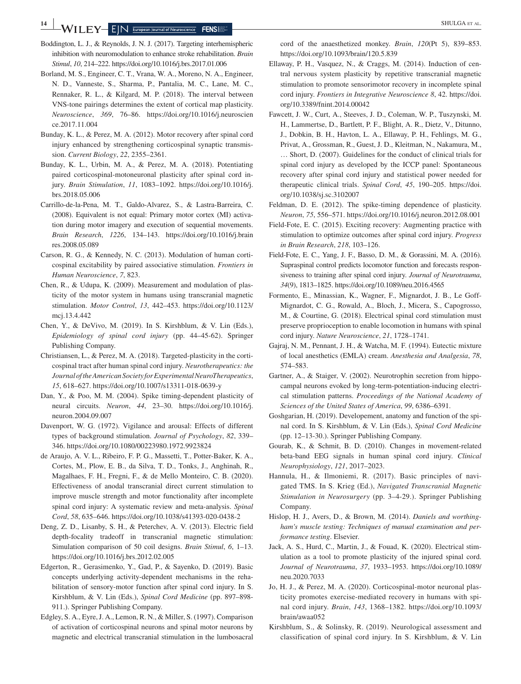**14 WILEY-EIN** European Journal of Neuroscience **FENS** 

- Boddington, L. J., & Reynolds, J. N. J. (2017). Targeting interhemispheric inhibition with neuromodulation to enhance stroke rehabilitation. *Brain Stimul*, *10*, 214–222.<https://doi.org/10.1016/j.brs.2017.01.006>
- Borland, M. S., Engineer, C. T., Vrana, W. A., Moreno, N. A., Engineer, N. D., Vanneste, S., Sharma, P., Pantalia, M. C., Lane, M. C., Rennaker, R. L., & Kilgard, M. P. (2018). The interval between VNS-tone pairings determines the extent of cortical map plasticity. *Neuroscience*, *369*, 76–86. [https://doi.org/10.1016/j.neuroscien](https://doi.org/10.1016/j.neuroscience.2017.11.004) [ce.2017.11.004](https://doi.org/10.1016/j.neuroscience.2017.11.004)
- Bunday, K. L., & Perez, M. A. (2012). Motor recovery after spinal cord injury enhanced by strengthening corticospinal synaptic transmission. *Current Biology*, *22*, 2355–2361.
- Bunday, K. L., Urbin, M. A., & Perez, M. A. (2018). Potentiating paired corticospinal-motoneuronal plasticity after spinal cord injury. *Brain Stimulation*, *11*, 1083–1092. [https://doi.org/10.1016/j.](https://doi.org/10.1016/j.brs.2018.05.006) [brs.2018.05.006](https://doi.org/10.1016/j.brs.2018.05.006)
- Carrillo-de-la-Pena, M. T., Galdo-Alvarez, S., & Lastra-Barreira, C. (2008). Equivalent is not equal: Primary motor cortex (MI) activation during motor imagery and execution of sequential movements. *Brain Research*, *1226*, 134–143. [https://doi.org/10.1016/j.brain](https://doi.org/10.1016/j.brainres.2008.05.089) [res.2008.05.089](https://doi.org/10.1016/j.brainres.2008.05.089)
- Carson, R. G., & Kennedy, N. C. (2013). Modulation of human corticospinal excitability by paired associative stimulation. *Frontiers in Human Neuroscience*, *7*, 823.
- Chen, R., & Udupa, K. (2009). Measurement and modulation of plasticity of the motor system in humans using transcranial magnetic stimulation. *Motor Control*, *13*, 442–453. [https://doi.org/10.1123/](https://doi.org/10.1123/mcj.13.4.442) [mcj.13.4.442](https://doi.org/10.1123/mcj.13.4.442)
- Chen, Y., & DeVivo, M. (2019). In S. Kirshblum, & V. Lin (Eds.), *Epidemiology of spinal cord injury* (pp. 44–45-62). Springer Publishing Company.
- Christiansen, L., & Perez, M. A. (2018). Targeted-plasticity in the corticospinal tract after human spinal cord injury. *Neurotherapeutics: the Journal of the American Society for Experimental NeuroTherapeutics*, *15*, 618–627.<https://doi.org/10.1007/s13311-018-0639-y>
- Dan, Y., & Poo, M. M. (2004). Spike timing-dependent plasticity of neural circuits. *Neuron*, *44*, 23–30. [https://doi.org/10.1016/j.](https://doi.org/10.1016/j.neuron.2004.09.007) [neuron.2004.09.007](https://doi.org/10.1016/j.neuron.2004.09.007)
- Davenport, W. G. (1972). Vigilance and arousal: Effects of different types of background stimulation. *Journal of Psychology*, *82*, 339– 346.<https://doi.org/10.1080/00223980.1972.9923824>
- de Araujo, A. V. L., Ribeiro, F. P. G., Massetti, T., Potter-Baker, K. A., Cortes, M., Plow, E. B., da Silva, T. D., Tonks, J., Anghinah, R., Magalhaes, F. H., Fregni, F., & de Mello Monteiro, C. B. (2020). Effectiveness of anodal transcranial direct current stimulation to improve muscle strength and motor functionality after incomplete spinal cord injury: A systematic review and meta-analysis. *Spinal Cord*, *58*, 635–646. <https://doi.org/10.1038/s41393-020-0438-2>
- Deng, Z. D., Lisanby, S. H., & Peterchev, A. V. (2013). Electric field depth-focality tradeoff in transcranial magnetic stimulation: Simulation comparison of 50 coil designs. *Brain Stimul*, *6*, 1–13. <https://doi.org/10.1016/j.brs.2012.02.005>
- Edgerton, R., Gerasimenko, Y., Gad, P., & Sayenko, D. (2019). Basic concepts underlying activity-dependent mechanisms in the rehabilitation of sensory-motor function after spinal cord injury. In S. Kirshblum, & V. Lin (Eds.), *Spinal Cord Medicine* (pp. 897–898- 911.). Springer Publishing Company.
- Edgley, S. A., Eyre, J. A., Lemon, R. N., & Miller, S. (1997). Comparison of activation of corticospinal neurons and spinal motor neurons by magnetic and electrical transcranial stimulation in the lumbosacral

cord of the anaesthetized monkey. *Brain*, *120*(Pt 5), 839–853. <https://doi.org/10.1093/brain/120.5.839>

- Ellaway, P. H., Vasquez, N., & Craggs, M. (2014). Induction of central nervous system plasticity by repetitive transcranial magnetic stimulation to promote sensorimotor recovery in incomplete spinal cord injury. *Frontiers in Integrative Neuroscience 8*, 42. [https://doi.](https://doi.org/10.3389/fnint.2014.00042) [org/10.3389/fnint.2014.00042](https://doi.org/10.3389/fnint.2014.00042)
- Fawcett, J. W., Curt, A., Steeves, J. D., Coleman, W. P., Tuszynski, M. H., Lammertse, D., Bartlett, P. F., Blight, A. R., Dietz, V., Ditunno, J., Dobkin, B. H., Havton, L. A., Ellaway, P. H., Fehlings, M. G., Privat, A., Grossman, R., Guest, J. D., Kleitman, N., Nakamura, M., … Short, D. (2007). Guidelines for the conduct of clinical trials for spinal cord injury as developed by the ICCP panel: Spontaneous recovery after spinal cord injury and statistical power needed for therapeutic clinical trials. *Spinal Cord*, *45*, 190–205. [https://doi.](https://doi.org/10.1038/sj.sc.3102007) [org/10.1038/sj.sc.3102007](https://doi.org/10.1038/sj.sc.3102007)
- Feldman, D. E. (2012). The spike-timing dependence of plasticity. *Neuron*, *75*, 556–571. <https://doi.org/10.1016/j.neuron.2012.08.001>
- Field-Fote, E. C. (2015). Exciting recovery: Augmenting practice with stimulation to optimize outcomes after spinal cord injury. *Progress in Brain Research*, *218*, 103–126.
- Field-Fote, E. C., Yang, J. F., Basso, D. M., & Gorassini, M. A. (2016). Supraspinal control predicts locomotor function and forecasts responsiveness to training after spinal cord injury. *Journal of Neurotrauma*, *34*(9), 1813–1825.<https://doi.org/10.1089/neu.2016.4565>
- Formento, E., Minassian, K., Wagner, F., Mignardot, J. B., Le Goff-Mignardot, C. G., Rowald, A., Bloch, J., Micera, S., Capogrosso, M., & Courtine, G. (2018). Electrical spinal cord stimulation must preserve proprioception to enable locomotion in humans with spinal cord injury. *Nature Neuroscience*, *21*, 1728–1741.
- Gajraj, N. M., Pennant, J. H., & Watcha, M. F. (1994). Eutectic mixture of local anesthetics (EMLA) cream. *Anesthesia and Analgesia*, *78*, 574–583.
- Gartner, A., & Staiger, V. (2002). Neurotrophin secretion from hippocampal neurons evoked by long-term-potentiation-inducing electrical stimulation patterns. *Proceedings of the National Academy of Sciences of the United States of America*, *99*, 6386–6391.
- Goshgarian, H. (2019). Developement, anatomy and function of the spinal cord. In S. Kirshblum, & V. Lin (Eds.), *Spinal Cord Medicine* (pp. 12–13-30.). Springer Publishing Company.
- Gourab, K., & Schmit, B. D. (2010). Changes in movement-related beta-band EEG signals in human spinal cord injury. *Clinical Neurophysiology*, *121*, 2017–2023.
- Hannula, H., & Ilmoniemi, R. (2017). Basic principles of navigated TMS. In S. Krieg (Ed.), *Navigated Transcranial Magnetic Stimulation in Neurosurgery* (pp. 3–4-29.). Springer Publishing Company.
- Hislop, H. J., Avers, D., & Brown, M. (2014). *Daniels and worthingham's muscle testing: Techniques of manual examination and performance testing*. Elsevier.
- Jack, A. S., Hurd, C., Martin, J., & Fouad, K. (2020). Electrical stimulation as a tool to promote plasticity of the injured spinal cord. *Journal of Neurotrauma*, *37*, 1933–1953. [https://doi.org/10.1089/](https://doi.org/10.1089/neu.2020.7033) [neu.2020.7033](https://doi.org/10.1089/neu.2020.7033)
- Jo, H. J., & Perez, M. A. (2020). Corticospinal-motor neuronal plasticity promotes exercise-mediated recovery in humans with spinal cord injury. *Brain*, *143*, 1368–1382. [https://doi.org/10.1093/](https://doi.org/10.1093/brain/awaa052) [brain/awaa052](https://doi.org/10.1093/brain/awaa052)
- Kirshblum, S., & Solinsky, R. (2019). Neurological assessment and classification of spinal cord injury. In S. Kirshblum, & V. Lin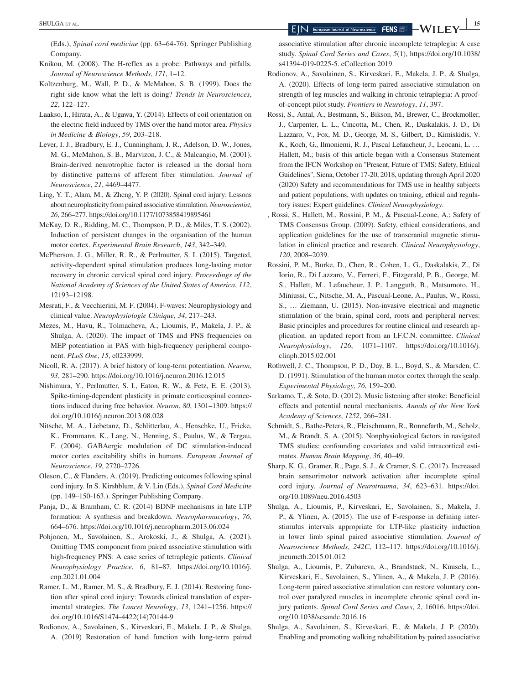(Eds.), *Spinal cord medicine* (pp. 63–64-76). Springer Publishing Company.

- Knikou, M. (2008). The H-reflex as a probe: Pathways and pitfalls. *Journal of Neuroscience Methods*, *171*, 1–12.
- Koltzenburg, M., Wall, P. D., & McMahon, S. B. (1999). Does the right side know what the left is doing? *Trends in Neurosciences*, *22*, 122–127.
- Laakso, I., Hirata, A., & Ugawa, Y. (2014). Effects of coil orientation on the electric field induced by TMS over the hand motor area. *Physics in Medicine & Biology*, *59*, 203–218.
- Lever, I. J., Bradbury, E. J., Cunningham, J. R., Adelson, D. W., Jones, M. G., McMahon, S. B., Marvizon, J. C., & Malcangio, M. (2001). Brain-derived neurotrophic factor is released in the dorsal horn by distinctive patterns of afferent fiber stimulation. *Journal of Neuroscience*, *21*, 4469–4477.
- Ling, Y. T., Alam, M., & Zheng, Y. P. (2020). Spinal cord injury: Lessons about neuroplasticity from paired associative stimulation. *Neuroscientist*, *26*, 266–277.<https://doi.org/10.1177/1073858419895461>
- McKay, D. R., Ridding, M. C., Thompson, P. D., & Miles, T. S. (2002). Induction of persistent changes in the organisation of the human motor cortex. *Experimental Brain Research*, *143*, 342–349.
- McPherson, J. G., Miller, R. R., & Perlmutter, S. I. (2015). Targeted, activity-dependent spinal stimulation produces long-lasting motor recovery in chronic cervical spinal cord injury. *Proceedings of the National Academy of Sciences of the United States of America*, *112*, 12193–12198.
- Mesrati, F., & Vecchierini, M. F. (2004). F-waves: Neurophysiology and clinical value. *Neurophysiologie Clinique*, *34*, 217–243.
- Mezes, M., Havu, R., Tolmacheva, A., Lioumis, P., Makela, J. P., & Shulga, A. (2020). The impact of TMS and PNS frequencies on MEP potentiation in PAS with high-frequency peripheral component. *PLoS One*, *15*, e0233999.
- Nicoll, R. A. (2017). A brief history of long-term potentiation. *Neuron*, *93*, 281–290. <https://doi.org/10.1016/j.neuron.2016.12.015>
- Nishimura, Y., Perlmutter, S. I., Eaton, R. W., & Fetz, E. E. (2013). Spike-timing-dependent plasticity in primate corticospinal connections induced during free behavior. *Neuron*, *80*, 1301–1309. [https://](https://doi.org/10.1016/j.neuron.2013.08.028) [doi.org/10.1016/j.neuron.2013.08.028](https://doi.org/10.1016/j.neuron.2013.08.028)
- Nitsche, M. A., Liebetanz, D., Schlitterlau, A., Henschke, U., Fricke, K., Frommann, K., Lang, N., Henning, S., Paulus, W., & Tergau, F. (2004). GABAergic modulation of DC stimulation-induced motor cortex excitability shifts in humans. *European Journal of Neuroscience*, *19*, 2720–2726.
- Oleson, C., & Flanders, A. (2019). Predicting outcomes following spinal cord injury. In S. Kirshblum, & V. Lin (Eds.), *Spinal Cord Medicine* (pp. 149–150-163.). Springer Publishing Company.
- Panja, D., & Bramham, C. R. (2014) BDNF mechanisms in late LTP formation: A synthesis and breakdown. *Neuropharmacology*, *76*, 664–676. <https://doi.org/10.1016/j.neuropharm.2013.06.024>
- Pohjonen, M., Savolainen, S., Arokoski, J., & Shulga, A. (2021). Omitting TMS component from paired associative stimulation with high-frequency PNS: A case series of tetraplegic patients. *Clinical Neurophysiology Practice*, *6*, 81–87. [https://doi.org/10.1016/j.](https://doi.org/10.1016/j.cnp.2021.01.004) [cnp.2021.01.004](https://doi.org/10.1016/j.cnp.2021.01.004)
- Ramer, L. M., Ramer, M. S., & Bradbury, E. J. (2014). Restoring function after spinal cord injury: Towards clinical translation of experimental strategies. *The Lancet Neurology*, *13*, 1241–1256. [https://](https://doi.org/10.1016/S1474-4422(14)70144-9) [doi.org/10.1016/S1474-4422\(14\)70144-9](https://doi.org/10.1016/S1474-4422(14)70144-9)
- Rodionov, A., Savolainen, S., Kirveskari, E., Makela, J. P., & Shulga, A. (2019) Restoration of hand function with long-term paired

associative stimulation after chronic incomplete tetraplegia: A case study. *Spinal Cord Series and Cases*, *5*(1), [https://doi.org/10.1038/](https://doi.org/10.1038/s41394-019-0225-5) [s41394-019-0225-5.](https://doi.org/10.1038/s41394-019-0225-5) eCollection 2019

- Rodionov, A., Savolainen, S., Kirveskari, E., Makela, J. P., & Shulga, A. (2020). Effects of long-term paired associative stimulation on strength of leg muscles and walking in chronic tetraplegia: A proofof-concept pilot study. *Frontiers in Neurology*, *11*, 397.
- Rossi, S., Antal, A., Bestmann, S., Bikson, M., Brewer, C., Brockmoller, J., Carpenter, L. L., Cincotta, M., Chen, R., Daskalakis, J. D., Di Lazzaro, V., Fox, M. D., George, M. S., Gilbert, D., Kimiskidis, V. K., Koch, G., Ilmoniemi, R. J., Pascal Lefaucheur, J., Leocani, L. … Hallett, M.; basis of this article began with a Consensus Statement from the IFCN Workshop on "Present, Future of TMS: Safety, Ethical Guidelines", Siena, October 17-20, 2018, updating through April 2020 (2020) Safety and recommendations for TMS use in healthy subjects and patient populations, with updates on training, ethical and regulatory issues: Expert guidelines. *Clinical Neurophysiology*.
- , Rossi, S., Hallett, M., Rossini, P. M., & Pascual-Leone, A.; Safety of TMS Consensus Group. (2009). Safety, ethical considerations, and application guidelines for the use of transcranial magnetic stimulation in clinical practice and research. *Clinical Neurophysiology*, *120*, 2008–2039.
- Rossini, P. M., Burke, D., Chen, R., Cohen, L. G., Daskalakis, Z., Di Iorio, R., Di Lazzaro, V., Ferreri, F., Fitzgerald, P. B., George, M. S., Hallett, M., Lefaucheur, J. P., Langguth, B., Matsumoto, H., Miniussi, C., Nitsche, M. A., Pascual-Leone, A., Paulus, W., Rossi, S., … Ziemann, U. (2015). Non-invasive electrical and magnetic stimulation of the brain, spinal cord, roots and peripheral nerves: Basic principles and procedures for routine clinical and research application. an updated report from an I.F.C.N. committee. *Clinical Neurophysiology*, *126*, 1071–1107. [https://doi.org/10.1016/j.](https://doi.org/10.1016/j.clinph.2015.02.001) [clinph.2015.02.001](https://doi.org/10.1016/j.clinph.2015.02.001)
- Rothwell, J. C., Thompson, P. D., Day, B. L., Boyd, S., & Marsden, C. D. (1991). Stimulation of the human motor cortex through the scalp. *Experimental Physiology*, *76*, 159–200.
- Sarkamo, T., & Soto, D. (2012). Music listening after stroke: Beneficial effects and potential neural mechanisms. *Annals of the New York Academy of Sciences*, *1252*, 266–281.
- Schmidt, S., Bathe-Peters, R., Fleischmann, R., Ronnefarth, M., Scholz, M., & Brandt, S. A. (2015). Nonphysiological factors in navigated TMS studies; confounding covariates and valid intracortical estimates. *Human Brain Mapping*, *36*, 40–49.
- Sharp, K. G., Gramer, R., Page, S. J., & Cramer, S. C. (2017). Increased brain sensorimotor network activation after incomplete spinal cord injury. *Journal of Neurotrauma*, *34*, 623–631. [https://doi.](https://doi.org/10.1089/neu.2016.4503) [org/10.1089/neu.2016.4503](https://doi.org/10.1089/neu.2016.4503)
- Shulga, A., Lioumis, P., Kirveskari, E., Savolainen, S., Makela, J. P., & Ylinen, A. (2015). The use of F-response in defining interstimulus intervals appropriate for LTP-like plasticity induction in lower limb spinal paired associative stimulation. *Journal of Neuroscience Methods*, *242C*, 112–117. [https://doi.org/10.1016/j.](https://doi.org/10.1016/j.jneumeth.2015.01.012) [jneumeth.2015.01.012](https://doi.org/10.1016/j.jneumeth.2015.01.012)
- Shulga, A., Lioumis, P., Zubareva, A., Brandstack, N., Kuusela, L., Kirveskari, E., Savolainen, S., Ylinen, A., & Makela, J. P. (2016). Long-term paired associative stimulation can restore voluntary control over paralyzed muscles in incomplete chronic spinal cord injury patients. *Spinal Cord Series and Cases*, *2*, 16016. [https://doi.](https://doi.org/10.1038/scsandc.2016.16) [org/10.1038/scsandc.2016.16](https://doi.org/10.1038/scsandc.2016.16)
- Shulga, A., Savolainen, S., Kirveskari, E., & Makela, J. P. (2020). Enabling and promoting walking rehabilitation by paired associative